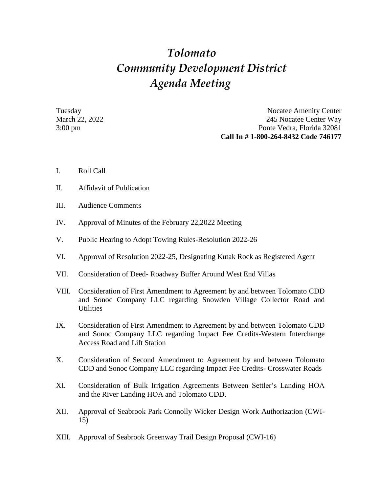## *Tolomato Community Development District Agenda Meeting*

Tuesday Nocatee Amenity Center March 22, 2022 245 Nocatee Center Way 3:00 pm Ponte Vedra, Florida 32081 **Call In # 1-800-264-8432 Code 746177**

- I. Roll Call
- II. Affidavit of Publication
- III. Audience Comments
- IV. Approval of Minutes of the February 22,2022 Meeting
- V. Public Hearing to Adopt Towing Rules-Resolution 2022-26
- VI. Approval of Resolution 2022-25, Designating Kutak Rock as Registered Agent
- VII. Consideration of Deed- Roadway Buffer Around West End Villas
- VIII. Consideration of First Amendment to Agreement by and between Tolomato CDD and Sonoc Company LLC regarding Snowden Village Collector Road and **Utilities**
- IX. Consideration of First Amendment to Agreement by and between Tolomato CDD and Sonoc Company LLC regarding Impact Fee Credits-Western Interchange Access Road and Lift Station
- X. Consideration of Second Amendment to Agreement by and between Tolomato CDD and Sonoc Company LLC regarding Impact Fee Credits- Crosswater Roads
- XI. Consideration of Bulk Irrigation Agreements Between Settler's Landing HOA and the River Landing HOA and Tolomato CDD.
- XII. Approval of Seabrook Park Connolly Wicker Design Work Authorization (CWI-15)
- XIII. Approval of Seabrook Greenway Trail Design Proposal (CWI-16)